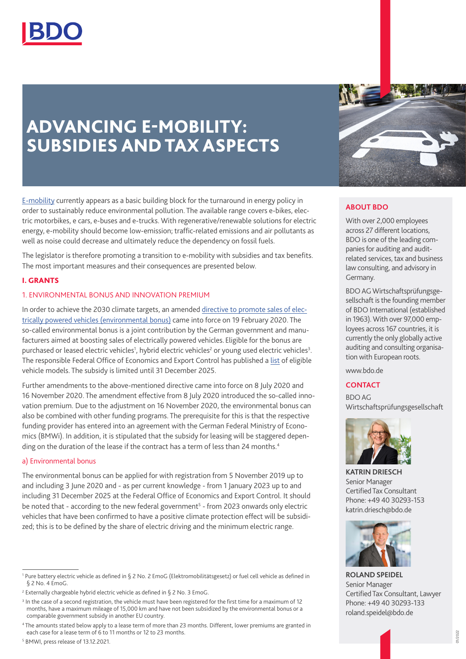

# ADVANCING E-MOBILITY: SUBSIDIES AND TAX ASPECTS

[E-mobility](https://www.bdo.de/en-gb/industries/automotive/e-mobility) currently appears as a basic building block for the turnaround in energy policy in order to sustainably reduce environmental pollution. The available range covers e-bikes, electric motorbikes, e cars, e-buses and e-trucks. With regenerative/renewable solutions for electric energy, e-mobility should become low-emission; traffic-related emissions and air pollutants as well as noise could decrease and ultimately reduce the dependency on fossil fuels.

The legislator is therefore promoting a transition to e-mobility with subsidies and tax benefits. The most important measures and their consequences are presented below.

## I. GRANTS

## 1. ENVIRONMENTAL BONUS AND INNOVATION PREMIUM

In order to achieve the 2030 climate targets, an amended [directive to promote sales of elec](https://www.bmwi.de/Redaktion/DE/Downloads/B/bekanntmachung-der-richtlinie-zur-foerderung-absatzes-von-elektrisch-betriebenen-fahrzeugen.pdf?__blob=publicationFile&v=4)[trically powered vehicles \(environmental bonus\)](https://www.bmwi.de/Redaktion/DE/Downloads/B/bekanntmachung-der-richtlinie-zur-foerderung-absatzes-von-elektrisch-betriebenen-fahrzeugen.pdf?__blob=publicationFile&v=4) came into force on 19 February 2020. The so-called environmental bonus is a joint contribution by the German government and manufacturers aimed at boosting sales of electrically powered vehicles. Eligible for the bonus are purchased or leased electric vehicles<sup>1</sup>, hybrid electric vehicles<sup>2</sup> or young used electric vehicles<sup>3</sup>. The responsible Federal Office of Economics and Export Control has published a [list](https://www.bafa.de/SharedDocs/Downloads/DE/Energie/emob_liste_foerderfaehige_fahrzeuge.pdf?__blob=publicationFile&v=97#:~:text=Liste%20der%20f%C3%B6rderf%C3%A4higen%20Elektrofahrzeuge%20Stand%3A%2027.01.2021%20.%20Reine,7%20Alk%C3%A8%20ATX%20330%20E%2025.500%2C00%208%20) of eligible vehicle models. The subsidy is limited until 31 December 2025.

Further amendments to the above-mentioned directive came into force on 8 July 2020 and 16 November 2020. The amendment effective from 8 July 2020 introduced the so-called innovation premium. Due to the adjustment on 16 November 2020, the environmental bonus can also be combined with other funding programs. The prerequisite for this is that the respective funding provider has entered into an agreement with the German Federal Ministry of Economics (BMWi). In addition, it is stipulated that the subsidy for leasing will be staggered depending on the duration of the lease if the contract has a term of less than 24 months.<sup>4</sup>

#### a) Environmental bonus

The environmental bonus can be applied for with registration from 5 November 2019 up to and including 3 June 2020 and - as per current knowledge - from 1 January 2023 up to and including 31 December 2025 at the Federal Office of Economics and Export Control. It should be noted that - according to the new federal government<sup>5</sup> - from 2023 onwards only electric vehicles that have been confirmed to have a positive climate protection effect will be subsidized; this is to be defined by the share of electric driving and the minimum electric range.



## **ABOUT BDO**

With over 2,000 employees across 27 different locations, BDO is one of the leading companies for auditing and auditrelated services, tax and business law consulting, and advisory in Germany.

BDO AG Wirtschaftsprüfungsgesellschaft is the founding member of BDO International (established in 1963). With over 97,000 employees across 167 countries, it is currently the only globally active auditing and consulting organisation with European roots.

www.bdo.de

### **CONTACT**

BDO AG Wirtschaftsprüfungsgesellschaft



**KATRIN DRIESCH** Senior Manager Certified Tax Consultant Phone: +49 40 30293-153 katrin.driesch@bdo.de



**ROLAND SPEIDEL** Senior Manager Certified Tax Consultant, Lawyer Phone: +49 40 30293-133 roland.speidel@bdo.de

<sup>1</sup> Pure battery electric vehicle as defined in § 2 No. 2 EmoG (Elektromobilitätsgesetz) or fuel cell vehicle as defined in § 2 No. 4 EmoG.

<sup>&</sup>lt;sup>2</sup> Externally chargeable hybrid electric vehicle as defined in § 2 No. 3 EmoG.

<sup>&</sup>lt;sup>3</sup> In the case of a second registration, the vehicle must have been registered for the first time for a maximum of 12 months, have a maximum mileage of 15,000 km and have not been subsidized by the environmental bonus or a comparable government subsidy in another EU country.

<sup>4</sup> The amounts stated below apply to a lease term of more than 23 months. Different, lower premiums are granted in each case for a lease term of 6 to 11 months or 12 to 23 months.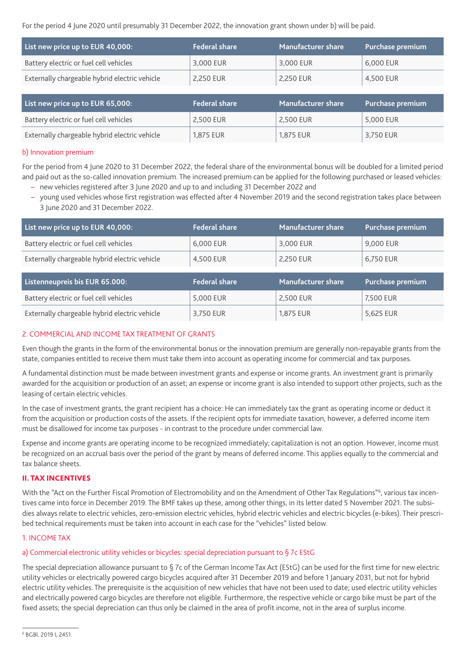For the period 4 June 2020 until presumably 31 December 2022, the innovation grant shown under b) will be paid.

| List new price up to EUR 40,000:              | <b>Federal share</b> | <b>Manufacturer share</b> | Purchase premium |
|-----------------------------------------------|----------------------|---------------------------|------------------|
| Battery electric or fuel cell vehicles        | 3,000 EUR            | 3,000 EUR                 | 6,000 EUR        |
| Externally chargeable hybrid electric vehicle | 2,250 EUR            | 2,250 EUR                 | 4,500 EUR        |
|                                               |                      |                           |                  |
|                                               |                      |                           |                  |
| List new price up to EUR 65,000:              | <b>Federal share</b> | Manufacturer share        | Purchase premium |
| Battery electric or fuel cell vehicles        | 2,500 EUR            | 2,500 EUR                 | 5,000 EUR        |

# b) Innovation premium

For the period from 4 June 2020 to 31 December 2022, the federal share of the environmental bonus will be doubled for a limited period and paid out as the so-called innovation premium. The increased premium can be applied for the following purchased or leased vehicles: – new vehicles registered after 3 June 2020 and up to and including 31 December 2022 and

– young used vehicles whose first registration was effected after 4 November 2019 and the second registration takes place between 3 June 2020 and 31 December 2022.

| List new price up to EUR 40,000:                                         | <b>Federal share</b> | <b>Manufacturer share</b> | Purchase premium |
|--------------------------------------------------------------------------|----------------------|---------------------------|------------------|
| Battery electric or fuel cell vehicles                                   | 6,000 EUR            | 3,000 EUR                 | 9,000 EUR        |
| Externally chargeable hybrid electric vehicle                            | 4,500 EUR            | 2,250 EUR                 | 6,750 EUR        |
|                                                                          |                      |                           |                  |
|                                                                          |                      |                           |                  |
|                                                                          | <b>Federal share</b> | <b>Manufacturer share</b> | Purchase premium |
| Listenneupreis bis EUR 65.000:<br>Battery electric or fuel cell vehicles | 5,000 EUR            | 2,500 EUR                 | 7,500 EUR        |

# 2. COMMERCIAL AND INCOME TAX TREATMENT OF GRANTS

Even though the grants in the form of the environmental bonus or the innovation premium are generally non-repayable grants from the state, companies entitled to receive them must take them into account as operating income for commercial and tax purposes.

A fundamental distinction must be made between investment grants and expense or income grants. An investment grant is primarily awarded for the acquisition or production of an asset; an expense or income grant is also intended to support other projects, such as the leasing of certain electric vehicles.

In the case of investment grants, the grant recipient has a choice: He can immediately tax the grant as operating income or deduct it from the acquisition or production costs of the assets. If the recipient opts for immediate taxation, however, a deferred income item must be disallowed for income tax purposes - in contrast to the procedure under commercial law.

Expense and income grants are operating income to be recognized immediately; capitalization is not an option. However, income must be recognized on an accrual basis over the period of the grant by means of deferred income. This applies equally to the commercial and tax balance sheets.

## II. TAX INCENTIVES

With the "Act on the Further Fiscal Promotion of Electromobility and on the Amendment of Other Tax Regulations"<sup>6</sup>, various tax incentives came into force in December 2019. The BMF takes up these, among other things, in its letter dated 5 November 2021. The subsidies always relate to electric vehicles, zero-emission electric vehicles, hybrid electric vehicles and electric bicycles (e-bikes). Their prescribed technical requirements must be taken into account in each case for the "vehicles" listed below.

# 1. INCOME TAX

# a) Commercial electronic utility vehicles or bicycles: special depreciation pursuant to §7c EStG

The special depreciation allowance pursuant to  $\S$  7c of the German Income Tax Act (EStG) can be used for the first time for new electric utility vehicles or electrically powered cargo bicycles acquired after 31 December 2019 and before 1 January 2031, but not for hybrid electric utility vehicles. The prerequisite is the acquisition of new vehicles that have not been used to date; used electric utility vehicles and electrically powered cargo bicycles are therefore not eligible. Furthermore, the respective vehicle or cargo bike must be part of the fixed assets; the special depreciation can thus only be claimed in the area of profit income, not in the area of surplus income.

<sup>6</sup> BGBl. 2019 I, 2451.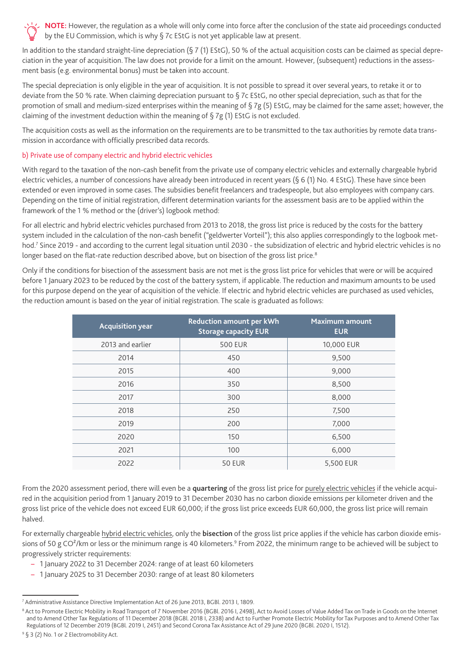

In addition to the standard straight-line depreciation (§ 7 (1) EStG), 50 % of the actual acquisition costs can be claimed as special depreciation in the year of acquisition. The law does not provide for a limit on the amount. However, (subsequent) reductions in the assessment basis (e.g. environmental bonus) must be taken into account.

The special depreciation is only eligible in the year of acquisition. It is not possible to spread it over several years, to retake it or to deviate from the 50 % rate. When claiming depreciation pursuant to § 7c EStG, no other special depreciation, such as that for the promotion of small and medium-sized enterprises within the meaning of § 7g (5) EStG, may be claimed for the same asset; however, the claiming of the investment deduction within the meaning of  $\S 7g (1)$  EStG is not excluded.

The acquisition costs as well as the information on the requirements are to be transmitted to the tax authorities by remote data transmission in accordance with officially prescribed data records.

## b) Private use of company electric and hybrid electric vehicles

With regard to the taxation of the non-cash benefit from the private use of company electric vehicles and externally chargeable hybrid electric vehicles, a number of concessions have already been introduced in recent years (§ 6 (1) No. 4 EStG). These have since been extended or even improved in some cases. The subsidies benefit freelancers and tradespeople, but also employees with company cars. Depending on the time of initial registration, different determination variants for the assessment basis are to be applied within the framework of the 1 % method or the (driver's) logbook method:

For all electric and hybrid electric vehicles purchased from 2013 to 2018, the gross list price is reduced by the costs for the battery system included in the calculation of the non-cash benefit ("geldwerter Vorteil"); this also applies correspondingly to the logbook method.7 Since 2019 - and according to the current legal situation until 2030 - the subsidization of electric and hybrid electric vehicles is no longer based on the flat-rate reduction described above, but on bisection of the gross list price.<sup>8</sup>

Only if the conditions for bisection of the assessment basis are not met is the gross list price for vehicles that were or will be acquired before 1 January 2023 to be reduced by the cost of the battery system, if applicable. The reduction and maximum amounts to be used for this purpose depend on the year of acquisition of the vehicle. If electric and hybrid electric vehicles are purchased as used vehicles, the reduction amount is based on the year of initial registration. The scale is graduated as follows:

| <b>Acquisition year</b> | <b>Reduction amount per kWh</b><br><b>Storage capacity EUR</b> | <b>Maximum amount</b><br><b>EUR</b> |
|-------------------------|----------------------------------------------------------------|-------------------------------------|
| 2013 and earlier        | <b>500 EUR</b>                                                 | 10,000 EUR                          |
| 2014                    | 450                                                            | 9,500                               |
| 2015                    | 400                                                            | 9,000                               |
| 2016                    | 350                                                            | 8,500                               |
| 2017                    | 300                                                            | 8,000                               |
| 2018                    | 250                                                            | 7,500                               |
| 2019                    | 200                                                            | 7,000                               |
| 2020                    | 150                                                            | 6,500                               |
| 2021                    | 100                                                            | 6,000                               |
| 2022                    | <b>50 EUR</b>                                                  | 5,500 EUR                           |

From the 2020 assessment period, there will even be a **quartering** of the gross list price for purely electric vehicles if the vehicle acquired in the acquisition period from 1 January 2019 to 31 December 2030 has no carbon dioxide emissions per kilometer driven and the gross list price of the vehicle does not exceed EUR 60,000; if the gross list price exceeds EUR 60,000, the gross list price will remain halved.

For externally chargeable hybrid electric vehicles, only the **bisection** of the gross list price applies if the vehicle has carbon dioxide emissions of 50 g CO<sup>2</sup>/km or less or the minimum range is 40 kilometers.<sup>9</sup> From 2022, the minimum range to be achieved will be subject to progressively stricter requirements:

- 1 January 2022 to 31 December 2024: range of at least 60 kilometers
- 1 January 2025 to 31 December 2030: range of at least 80 kilometers

<sup>7</sup> Administrative Assistance Directive Implementation Act of 26 June 2013, BGBl. 2013 I, 1809.

<sup>&</sup>lt;sup>8</sup> Act to Promote Electric Mobility in Road Transport of 7 November 2016 (BGBl. 2016 I, 2498), Act to Avoid Losses of Value Added Tax on Trade in Goods on the Internet and to Amend Other Tax Regulations of 11 December 2018 (BGBl. 2018 I, 2338) and Act to Further Promote Electric Mobility for Tax Purposes and to Amend Other Tax Regulations of 12 December 2019 (BGBl. 2019 I, 2451) and Second Corona Tax Assistance Act of 29 June 2020 (BGBl. 2020 I, 1512).

<sup>&</sup>lt;sup>9</sup> § 3 (2) No. 1 or 2 Electromobility Act.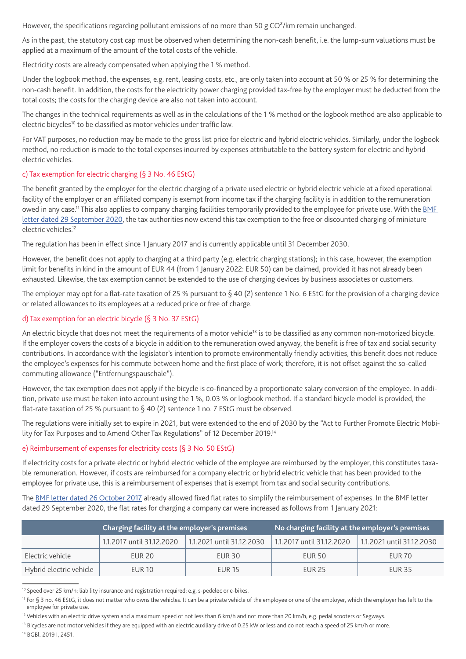However, the specifications regarding pollutant emissions of no more than 50 g CO<sup>2</sup>/km remain unchanged.

As in the past, the statutory cost cap must be observed when determining the non-cash benefit, i.e. the lump-sum valuations must be applied at a maximum of the amount of the total costs of the vehicle.

Electricity costs are already compensated when applying the 1 % method.

Under the logbook method, the expenses, e.g. rent, leasing costs, etc., are only taken into account at 50 % or 25 % for determining the non-cash benefit. In addition, the costs for the electricity power charging provided tax-free by the employer must be deducted from the total costs; the costs for the charging device are also not taken into account.

The changes in the technical requirements as well as in the calculations of the 1 % method or the logbook method are also applicable to electric bicycles<sup>10</sup> to be classified as motor vehicles under traffic law.

For VAT purposes, no reduction may be made to the gross list price for electric and hybrid electric vehicles. Similarly, under the logbook method, no reduction is made to the total expenses incurred by expenses attributable to the battery system for electric and hybrid electric vehicles.

# c) Tax exemption for electric charging (§ 3 No. 46 EStG)

The benefit granted by the employer for the electric charging of a private used electric or hybrid electric vehicle at a fixed operational facility of the employer or an affiliated company is exempt from income tax if the charging facility is in addition to the remuneration owed in any case.<sup>11</sup> This also applies to company charging facilities temporarily provided to the employee for private use. With the BMF [letter dated 29 September 2020,](https://www.bundesfinanzministerium.de/Content/DE/Downloads/BMF_Schreiben/Steuerarten/Lohnsteuer/2020-09-29-steuerbefreiung-nach-paragraf-3-nummer-46-EStG-und-pauschalierung-der-lohnsteuer-nach-paragraf-40-absatz-2-Satz-1-nummer-6-EStG.pdf?__blob=publicationFile&v=2) the tax authorities now extend this tax exemption to the free or discounted charging of miniature electric vehicles.12

The regulation has been in effect since 1 January 2017 and is currently applicable until 31 December 2030.

However, the benefit does not apply to charging at a third party (e.g. electric charging stations); in this case, however, the exemption limit for benefits in kind in the amount of EUR 44 (from 1 January 2022: EUR 50) can be claimed, provided it has not already been exhausted. Likewise, the tax exemption cannot be extended to the use of charging devices by business associates or customers.

The employer may opt for a flat-rate taxation of 25 % pursuant to § 40 (2) sentence 1 No. 6 EStG for the provision of a charging device or related allowances to its employees at a reduced price or free of charge.

# d) Tax exemption for an electric bicycle (§ 3 No. 37 EStG)

An electric bicycle that does not meet the requirements of a motor vehicle<sup>13</sup> is to be classified as any common non-motorized bicycle. If the employer covers the costs of a bicycle in addition to the remuneration owed anyway, the benefit is free of tax and social security contributions. In accordance with the legislator's intention to promote environmentally friendly activities, this benefit does not reduce the employee's expenses for his commute between home and the first place of work; therefore, it is not offset against the so-called commuting allowance ("Entfernungspauschale").

However, the tax exemption does not apply if the bicycle is co-financed by a proportionate salary conversion of the employee. In addition, private use must be taken into account using the 1 %, 0.03 % or logbook method. If a standard bicycle model is provided, the flat-rate taxation of 25 % pursuant to § 40 (2) sentence 1 no. 7 EStG must be observed.

The regulations were initially set to expire in 2021, but were extended to the end of 2030 by the "Act to Further Promote Electric Mobility for Tax Purposes and to Amend Other Tax Regulations" of 12 December 2019.14

## e) Reimbursement of expenses for electricity costs (§ 3 No. 50 EStG)

If electricity costs for a private electric or hybrid electric vehicle of the employee are reimbursed by the employer, this constitutes taxable remuneration. However, if costs are reimbursed for a company electric or hybrid electric vehicle that has been provided to the employee for private use, this is a reimbursement of expenses that is exempt from tax and social security contributions.

The [BMF letter dated 26 October 2017](https://www.bundesfinanzministerium.de/Content/DE/Downloads/BMF_Schreiben/Steuerarten/Lohnsteuer/2017-10-26-anwendungsschreiben-gesetz-zur-steuerlichen-foerderung-von-elektromobilitaet-im-strassenverkehr.pdf?__blob=publicationFile&v=3) already allowed fixed flat rates to simplify the reimbursement of expenses. In the BMF letter dated 29 September 2020, the flat rates for charging a company car were increased as follows from 1 January 2021:

|                         | Charging facility at the employer's premises |                           | No charging facility at the employer's premises |                           |
|-------------------------|----------------------------------------------|---------------------------|-------------------------------------------------|---------------------------|
|                         | 1.12017 until 31.12.2020                     | 1.1.2021 until 31.12.2030 | 1.1.2017 until 31.12.2020                       | 1.1.2021 until 31.12.2030 |
| Electric vehicle        | <b>FUR 20</b>                                | <b>EUR 30</b>             | FUR <sub>50</sub>                               | <b>EUR 70</b>             |
| Hybrid electric vehicle | <b>FUR 10</b>                                | <b>EUR 15</b>             | <b>FUR 25</b>                                   | <b>EUR 35</b>             |

<sup>&</sup>lt;sup>10</sup> Speed over 25 km/h; liability insurance and registration required; e.g. s-pedelec or e-bikes.

14 BGBl. 2019 I, 2451.

<sup>&</sup>lt;sup>11</sup> For § 3 no. 46 EStG, it does not matter who owns the vehicles. It can be a private vehicle of the employee or one of the employer, which the employer has left to the employee for private use.

<sup>&</sup>lt;sup>12</sup> Vehicles with an electric drive system and a maximum speed of not less than 6 km/h and not more than 20 km/h, e.g. pedal scooters or Segways.

<sup>&</sup>lt;sup>13</sup> Bicycles are not motor vehicles if they are equipped with an electric auxiliary drive of 0.25 kW or less and do not reach a speed of 25 km/h or more.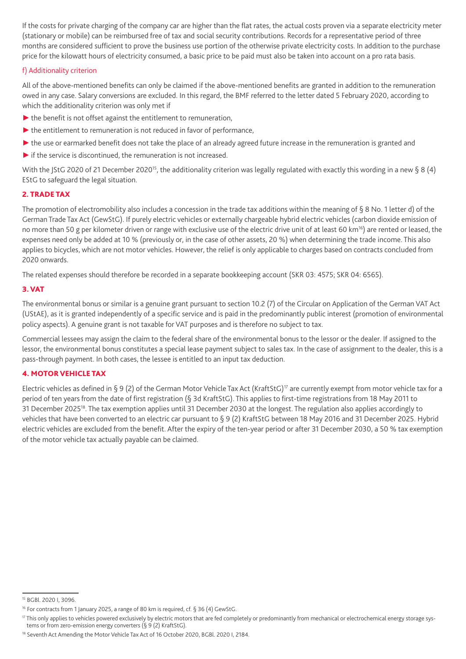If the costs for private charging of the company car are higher than the flat rates, the actual costs proven via a separate electricity meter (stationary or mobile) can be reimbursed free of tax and social security contributions. Records for a representative period of three months are considered sufficient to prove the business use portion of the otherwise private electricity costs. In addition to the purchase price for the kilowatt hours of electricity consumed, a basic price to be paid must also be taken into account on a pro rata basis.

# f) Additionality criterion

All of the above-mentioned benefits can only be claimed if the above-mentioned benefits are granted in addition to the remuneration owed in any case. Salary conversions are excluded. In this regard, the BMF referred to the letter dated 5 February 2020, according to which the additionality criterion was only met if

- $\blacktriangleright$  the benefit is not offset against the entitlement to remuneration,
- ▶ the entitlement to remuneration is not reduced in favor of performance,
- ► the use or earmarked benefit does not take the place of an already agreed future increase in the remuneration is granted and
- $\blacktriangleright$  if the service is discontinued, the remuneration is not increased.

With the JStG 2020 of 21 December 2020<sup>15</sup>, the additionality criterion was legally regulated with exactly this wording in a new § 8 (4) EStG to safeguard the legal situation.

# 2. TRADE TAX

The promotion of electromobility also includes a concession in the trade tax additions within the meaning of § 8 No. 1 letter d) of the German Trade Tax Act (GewStG). If purely electric vehicles or externally chargeable hybrid electric vehicles (carbon dioxide emission of no more than 50 g per kilometer driven or range with exclusive use of the electric drive unit of at least 60 km<sup>16</sup>) are rented or leased, the expenses need only be added at 10 % (previously or, in the case of other assets, 20 %) when determining the trade income. This also applies to bicycles, which are not motor vehicles. However, the relief is only applicable to charges based on contracts concluded from 2020 onwards.

The related expenses should therefore be recorded in a separate bookkeeping account (SKR 03: 4575; SKR 04: 6565).

# 3. VAT

The environmental bonus or similar is a genuine grant pursuant to section 10.2 (7) of the Circular on Application of the German VAT Act (UStAE), as it is granted independently of a specific service and is paid in the predominantly public interest (promotion of environmental policy aspects). A genuine grant is not taxable for VAT purposes and is therefore no subject to tax.

Commercial lessees may assign the claim to the federal share of the environmental bonus to the lessor or the dealer. If assigned to the lessor, the environmental bonus constitutes a special lease payment subject to sales tax. In the case of assignment to the dealer, this is a pass-through payment. In both cases, the lessee is entitled to an input tax deduction.

# 4. MOTOR VEHICLE TAX

Electric vehicles as defined in § 9 (2) of the German Motor Vehicle Tax Act (KraftStG)<sup>17</sup> are currently exempt from motor vehicle tax for a period of ten years from the date of first registration (§ 3d KraftStG). This applies to first-time registrations from 18 May 2011 to 31 December 202518. The tax exemption applies until 31 December 2030 at the longest. The regulation also applies accordingly to vehicles that have been converted to an electric car pursuant to § 9 (2) KraftStG between 18 May 2016 and 31 December 2025. Hybrid electric vehicles are excluded from the benefit. After the expiry of the ten-year period or after 31 December 2030, a 50 % tax exemption of the motor vehicle tax actually payable can be claimed.

<sup>15</sup> BGBl. 2020 I, 3096.

<sup>&</sup>lt;sup>16</sup> For contracts from 1 January 2025, a range of 80 km is required, cf. § 36 (4) GewStG.

<sup>&</sup>lt;sup>17</sup> This only applies to vehicles powered exclusively by electric motors that are fed completely or predominantly from mechanical or electrochemical energy storage systems or from zero-emission energy converters (§ 9 (2) KraftStG).

<sup>&</sup>lt;sup>18</sup> Seventh Act Amending the Motor Vehicle Tax Act of 16 October 2020, BGBl. 2020 I, 2184.